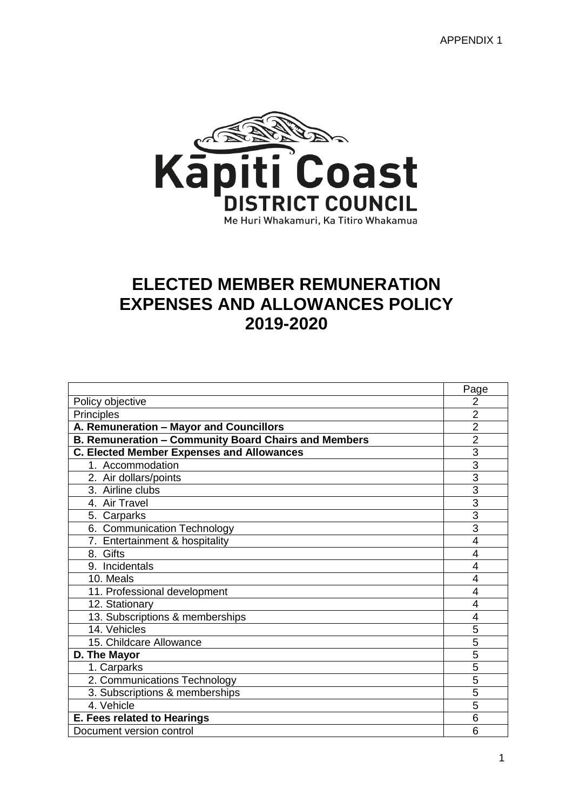

# **ELECTED MEMBER REMUNERATION EXPENSES AND ALLOWANCES POLICY 2019-2020**

|                                                      | Page           |  |  |
|------------------------------------------------------|----------------|--|--|
| Policy objective                                     | 2              |  |  |
| Principles                                           |                |  |  |
| A. Remuneration - Mayor and Councillors              | $\overline{2}$ |  |  |
| B. Remuneration - Community Board Chairs and Members | $\overline{2}$ |  |  |
| <b>C. Elected Member Expenses and Allowances</b>     | 3              |  |  |
| 1. Accommodation                                     | $\overline{3}$ |  |  |
| 2. Air dollars/points                                | 3              |  |  |
| 3. Airline clubs                                     | 3              |  |  |
| 4. Air Travel                                        | $\overline{3}$ |  |  |
| 5. Carparks                                          | $\overline{3}$ |  |  |
| 6. Communication Technology                          | $\overline{3}$ |  |  |
| 7. Entertainment & hospitality                       | 4              |  |  |
| 8. Gifts                                             |                |  |  |
| 9. Incidentals                                       | 4              |  |  |
| 10. Meals                                            | 4              |  |  |
| 11. Professional development                         | 4              |  |  |
| 12. Stationary                                       | 4              |  |  |
| 13. Subscriptions & memberships                      | 4              |  |  |
| 14. Vehicles                                         | 5              |  |  |
| 15. Childcare Allowance                              | 5              |  |  |
| D. The Mayor                                         | $\overline{5}$ |  |  |
| 1. Carparks                                          | 5              |  |  |
| 2. Communications Technology                         | 5              |  |  |
| 3. Subscriptions & memberships                       | 5              |  |  |
| 4. Vehicle                                           | 5              |  |  |
| E. Fees related to Hearings                          | 6              |  |  |
| Document version control                             | 6              |  |  |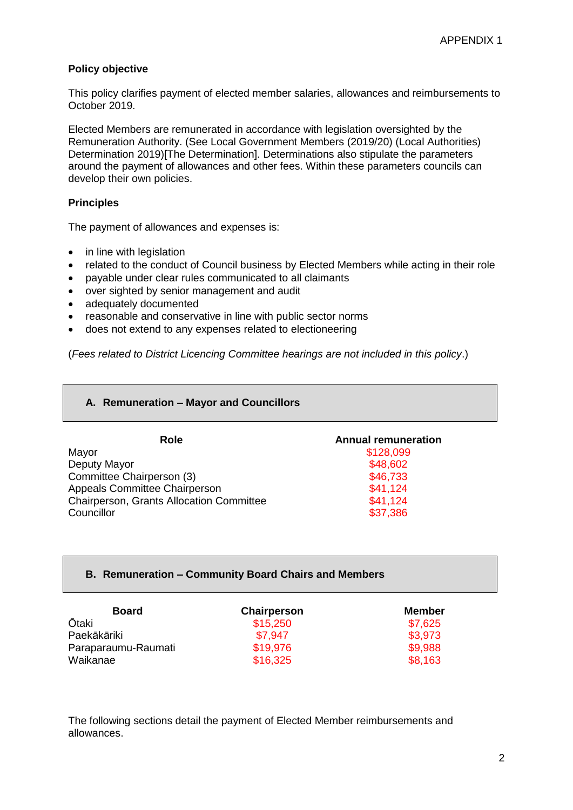#### **Policy objective**

This policy clarifies payment of elected member salaries, allowances and reimbursements to October 2019.

Elected Members are remunerated in accordance with legislation oversighted by the Remuneration Authority. (See Local Government Members (2019/20) (Local Authorities) Determination 2019)[The Determination]. Determinations also stipulate the parameters around the payment of allowances and other fees. Within these parameters councils can develop their own policies.

#### **Principles**

The payment of allowances and expenses is:

- in line with legislation
- related to the conduct of Council business by Elected Members while acting in their role
- payable under clear rules communicated to all claimants
- over sighted by senior management and audit
- adequately documented
- reasonable and conservative in line with public sector norms
- does not extend to any expenses related to electioneering

(*Fees related to District Licencing Committee hearings are not included in this policy*.)

#### **A. Remuneration – Mayor and Councillors**

| Role                                     | <b>Annual remuneration</b> |
|------------------------------------------|----------------------------|
| Mayor                                    | \$128,099                  |
| Deputy Mayor                             | \$48,602                   |
| Committee Chairperson (3)                | \$46,733                   |
| Appeals Committee Chairperson            | \$41,124                   |
| Chairperson, Grants Allocation Committee | \$41,124                   |
| Councillor                               | \$37,386                   |

#### **B. Remuneration – Community Board Chairs and Members**

| <b>Board</b>        | Chairperson | Member  |
|---------------------|-------------|---------|
| <b>Ōtaki</b>        | \$15,250    | \$7,625 |
| Paekākāriki         | \$7.947     | \$3,973 |
| Paraparaumu-Raumati | \$19,976    | \$9,988 |
| Waikanae            | \$16,325    | \$8,163 |

The following sections detail the payment of Elected Member reimbursements and allowances.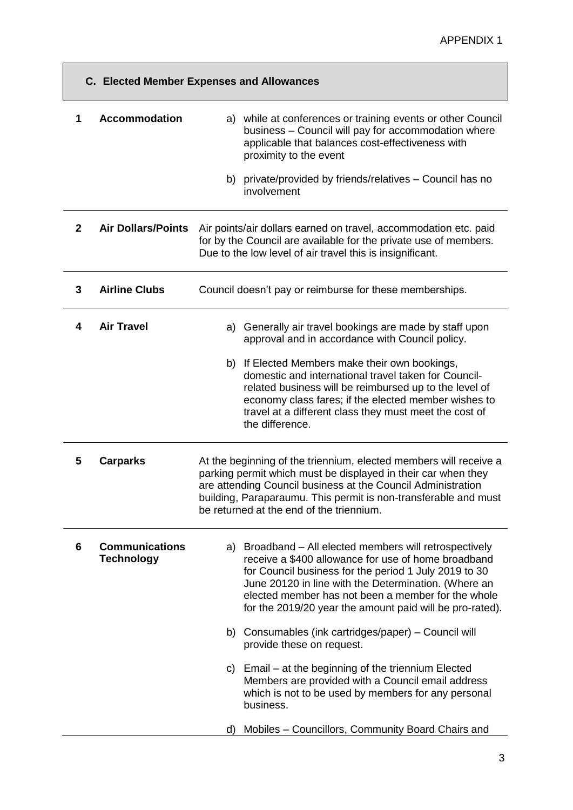| <b>C. Elected Member Expenses and Allowances</b> |                                            |                                                                                                                                                                                                                                                                                                                                                   |  |
|--------------------------------------------------|--------------------------------------------|---------------------------------------------------------------------------------------------------------------------------------------------------------------------------------------------------------------------------------------------------------------------------------------------------------------------------------------------------|--|
| 1                                                | <b>Accommodation</b>                       | a) while at conferences or training events or other Council<br>business - Council will pay for accommodation where<br>applicable that balances cost-effectiveness with<br>proximity to the event                                                                                                                                                  |  |
|                                                  |                                            | b) private/provided by friends/relatives - Council has no<br>involvement                                                                                                                                                                                                                                                                          |  |
| $\overline{2}$                                   | <b>Air Dollars/Points</b>                  | Air points/air dollars earned on travel, accommodation etc. paid<br>for by the Council are available for the private use of members.<br>Due to the low level of air travel this is insignificant.                                                                                                                                                 |  |
| 3                                                | <b>Airline Clubs</b>                       | Council doesn't pay or reimburse for these memberships.                                                                                                                                                                                                                                                                                           |  |
| 4                                                | <b>Air Travel</b>                          | Generally air travel bookings are made by staff upon<br>a)<br>approval and in accordance with Council policy.                                                                                                                                                                                                                                     |  |
|                                                  |                                            | b) If Elected Members make their own bookings,<br>domestic and international travel taken for Council-<br>related business will be reimbursed up to the level of<br>economy class fares; if the elected member wishes to<br>travel at a different class they must meet the cost of<br>the difference.                                             |  |
| 5                                                | <b>Carparks</b>                            | At the beginning of the triennium, elected members will receive a<br>parking permit which must be displayed in their car when they<br>are attending Council business at the Council Administration<br>building, Paraparaumu. This permit is non-transferable and must<br>be returned at the end of the triennium.                                 |  |
| 6                                                | <b>Communications</b><br><b>Technology</b> | a) Broadband - All elected members will retrospectively<br>receive a \$400 allowance for use of home broadband<br>for Council business for the period 1 July 2019 to 30<br>June 20120 in line with the Determination. (Where an<br>elected member has not been a member for the whole<br>for the 2019/20 year the amount paid will be pro-rated). |  |
|                                                  |                                            | b) Consumables (ink cartridges/paper) – Council will<br>provide these on request.                                                                                                                                                                                                                                                                 |  |
|                                                  |                                            | c) Email – at the beginning of the triennium Elected<br>Members are provided with a Council email address<br>which is not to be used by members for any personal<br>business.                                                                                                                                                                     |  |
|                                                  |                                            | Mobiles - Councillors, Community Board Chairs and<br>d)                                                                                                                                                                                                                                                                                           |  |

 $\mathcal{L}^{\text{max}}$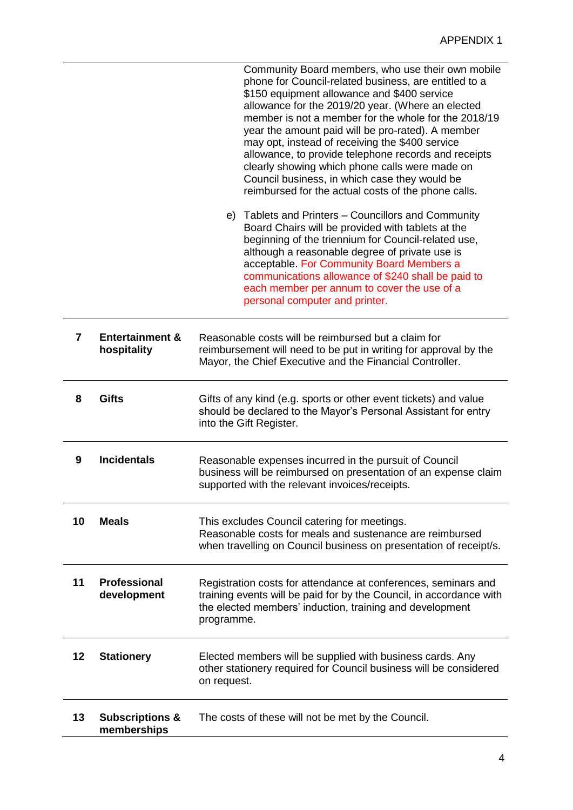|    |                                           | Community Board members, who use their own mobile<br>phone for Council-related business, are entitled to a<br>\$150 equipment allowance and \$400 service<br>allowance for the 2019/20 year. (Where an elected<br>member is not a member for the whole for the 2018/19<br>year the amount paid will be pro-rated). A member<br>may opt, instead of receiving the \$400 service<br>allowance, to provide telephone records and receipts<br>clearly showing which phone calls were made on<br>Council business, in which case they would be<br>reimbursed for the actual costs of the phone calls. |  |
|----|-------------------------------------------|--------------------------------------------------------------------------------------------------------------------------------------------------------------------------------------------------------------------------------------------------------------------------------------------------------------------------------------------------------------------------------------------------------------------------------------------------------------------------------------------------------------------------------------------------------------------------------------------------|--|
|    |                                           | e) Tablets and Printers – Councillors and Community<br>Board Chairs will be provided with tablets at the<br>beginning of the triennium for Council-related use,<br>although a reasonable degree of private use is<br>acceptable. For Community Board Members a<br>communications allowance of \$240 shall be paid to<br>each member per annum to cover the use of a<br>personal computer and printer.                                                                                                                                                                                            |  |
| 7  | <b>Entertainment &amp;</b><br>hospitality | Reasonable costs will be reimbursed but a claim for<br>reimbursement will need to be put in writing for approval by the<br>Mayor, the Chief Executive and the Financial Controller.                                                                                                                                                                                                                                                                                                                                                                                                              |  |
| 8  | <b>Gifts</b>                              | Gifts of any kind (e.g. sports or other event tickets) and value<br>should be declared to the Mayor's Personal Assistant for entry<br>into the Gift Register.                                                                                                                                                                                                                                                                                                                                                                                                                                    |  |
| 9  | <b>Incidentals</b>                        | Reasonable expenses incurred in the pursuit of Council<br>business will be reimbursed on presentation of an expense claim<br>supported with the relevant invoices/receipts.                                                                                                                                                                                                                                                                                                                                                                                                                      |  |
| 10 | <b>Meals</b>                              | This excludes Council catering for meetings.<br>Reasonable costs for meals and sustenance are reimbursed<br>when travelling on Council business on presentation of receipt/s.                                                                                                                                                                                                                                                                                                                                                                                                                    |  |
| 11 | <b>Professional</b><br>development        | Registration costs for attendance at conferences, seminars and<br>training events will be paid for by the Council, in accordance with<br>the elected members' induction, training and development<br>programme.                                                                                                                                                                                                                                                                                                                                                                                  |  |
| 12 | <b>Stationery</b>                         | Elected members will be supplied with business cards. Any<br>other stationery required for Council business will be considered<br>on request.                                                                                                                                                                                                                                                                                                                                                                                                                                                    |  |
| 13 | <b>Subscriptions &amp;</b><br>memberships | The costs of these will not be met by the Council.                                                                                                                                                                                                                                                                                                                                                                                                                                                                                                                                               |  |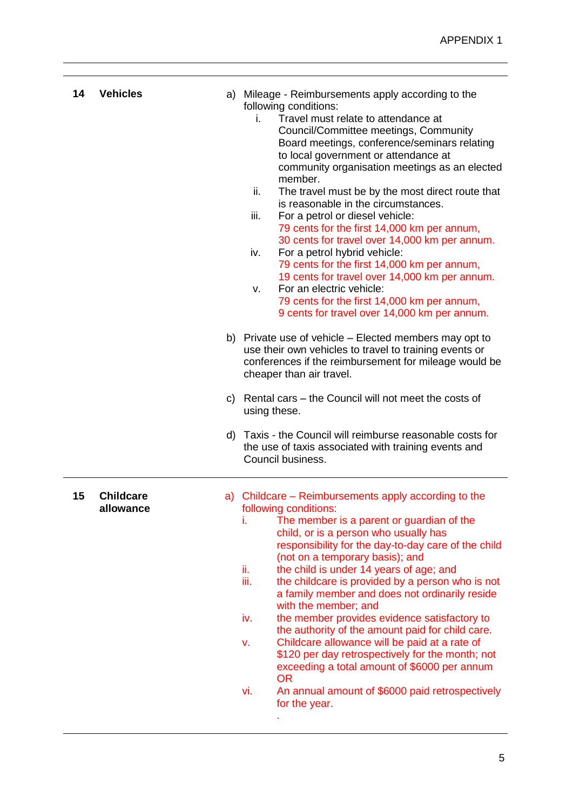| 14 | <b>Vehicles</b>               | a) Mileage - Reimbursements apply according to the<br>following conditions:<br>Travel must relate to attendance at<br>i.<br>Council/Committee meetings, Community<br>Board meetings, conference/seminars relating<br>to local government or attendance at<br>community organisation meetings as an elected<br>member.<br>ii.<br>The travel must be by the most direct route that<br>is reasonable in the circumstances.<br>For a petrol or diesel vehicle:<br>iii.<br>79 cents for the first 14,000 km per annum,<br>30 cents for travel over 14,000 km per annum.<br>iv.<br>For a petrol hybrid vehicle:<br>79 cents for the first 14,000 km per annum,<br>19 cents for travel over 14,000 km per annum.<br>For an electric vehicle:<br>v.<br>79 cents for the first 14,000 km per annum,<br>9 cents for travel over 14,000 km per annum.<br>b) Private use of vehicle – Elected members may opt to<br>use their own vehicles to travel to training events or<br>conferences if the reimbursement for mileage would be<br>cheaper than air travel.<br>c) Rental cars – the Council will not meet the costs of<br>using these.<br>d) Taxis - the Council will reimburse reasonable costs for<br>the use of taxis associated with training events and |
|----|-------------------------------|------------------------------------------------------------------------------------------------------------------------------------------------------------------------------------------------------------------------------------------------------------------------------------------------------------------------------------------------------------------------------------------------------------------------------------------------------------------------------------------------------------------------------------------------------------------------------------------------------------------------------------------------------------------------------------------------------------------------------------------------------------------------------------------------------------------------------------------------------------------------------------------------------------------------------------------------------------------------------------------------------------------------------------------------------------------------------------------------------------------------------------------------------------------------------------------------------------------------------------------------------|
| 15 | <b>Childcare</b><br>allowance | Council business.<br>a) Childcare – Reimbursements apply according to the<br>following conditions:<br>The member is a parent or guardian of the<br>i.<br>child, or is a person who usually has<br>responsibility for the day-to-day care of the child<br>(not on a temporary basis); and<br>ii.<br>the child is under 14 years of age; and<br>iii.<br>the childcare is provided by a person who is not<br>a family member and does not ordinarily reside<br>with the member; and<br>the member provides evidence satisfactory to<br>iv.<br>the authority of the amount paid for child care.<br>Childcare allowance will be paid at a rate of<br>v.<br>\$120 per day retrospectively for the month; not<br>exceeding a total amount of \$6000 per annum<br><b>OR</b><br>An annual amount of \$6000 paid retrospectively<br>vi.<br>for the year.                                                                                                                                                                                                                                                                                                                                                                                                       |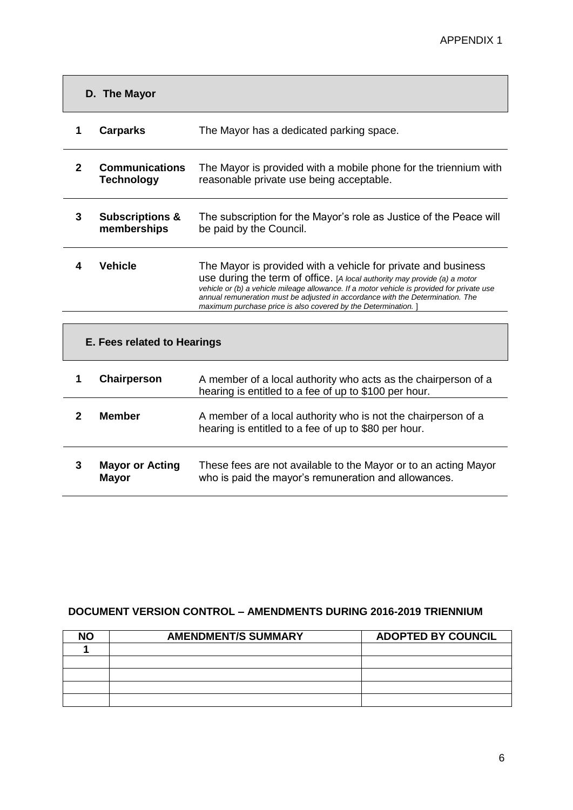| D. The Mayor                |                                            |                                                                                                                                                                                                                                                                                                                                                                                            |  |
|-----------------------------|--------------------------------------------|--------------------------------------------------------------------------------------------------------------------------------------------------------------------------------------------------------------------------------------------------------------------------------------------------------------------------------------------------------------------------------------------|--|
| 1                           | <b>Carparks</b>                            | The Mayor has a dedicated parking space.                                                                                                                                                                                                                                                                                                                                                   |  |
| $\overline{2}$              | <b>Communications</b><br><b>Technology</b> | The Mayor is provided with a mobile phone for the triennium with<br>reasonable private use being acceptable.                                                                                                                                                                                                                                                                               |  |
| 3                           | <b>Subscriptions &amp;</b><br>memberships  | The subscription for the Mayor's role as Justice of the Peace will<br>be paid by the Council.                                                                                                                                                                                                                                                                                              |  |
| 4                           | <b>Vehicle</b>                             | The Mayor is provided with a vehicle for private and business<br>use during the term of office. [A local authority may provide (a) a motor<br>vehicle or (b) a vehicle mileage allowance. If a motor vehicle is provided for private use<br>annual remuneration must be adjusted in accordance with the Determination. The<br>maximum purchase price is also covered by the Determination. |  |
|                             |                                            |                                                                                                                                                                                                                                                                                                                                                                                            |  |
| E. Fees related to Hearings |                                            |                                                                                                                                                                                                                                                                                                                                                                                            |  |
| 1                           | Chairperson                                | A member of a local authority who acts as the chairperson of a<br>hearing is entitled to a fee of up to \$100 per hour.                                                                                                                                                                                                                                                                    |  |
| $\mathbf{2}$                | <b>Member</b>                              | A member of a local authority who is not the chairperson of a<br>hearing is entitled to a fee of up to \$80 per hour.                                                                                                                                                                                                                                                                      |  |
| 3                           | <b>Mayor or Acting</b><br><b>Mayor</b>     | These fees are not available to the Mayor or to an acting Mayor<br>who is paid the mayor's remuneration and allowances.                                                                                                                                                                                                                                                                    |  |

## **DOCUMENT VERSION CONTROL – AMENDMENTS DURING 2016-2019 TRIENNIUM**

| ۹O | <b>AMENDMENT/S SUMMARY</b> | <b>ADOPTED BY COUNCIL</b> |
|----|----------------------------|---------------------------|
|    |                            |                           |
|    |                            |                           |
|    |                            |                           |
|    |                            |                           |
|    |                            |                           |